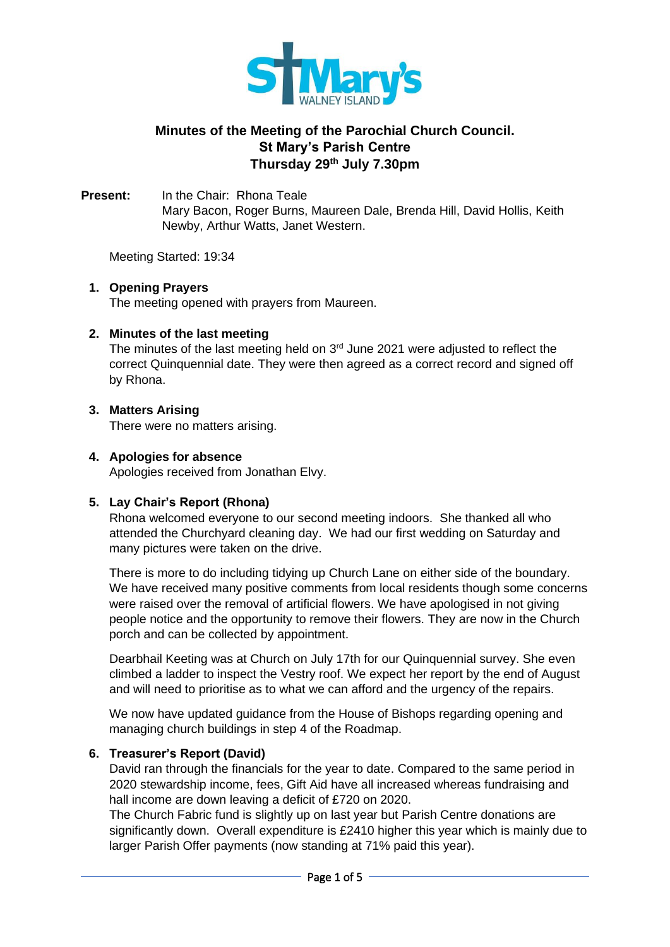

# **Minutes of the Meeting of the Parochial Church Council. St Mary's Parish Centre Thursday 29th July 7.30pm**

**Present:** In the Chair: Rhona Teale Mary Bacon, Roger Burns, Maureen Dale, Brenda Hill, David Hollis, Keith Newby, Arthur Watts, Janet Western.

Meeting Started: 19:34

### **1. Opening Prayers**

The meeting opened with prayers from Maureen.

### **2. Minutes of the last meeting**

The minutes of the last meeting held on  $3<sup>rd</sup>$  June 2021 were adjusted to reflect the correct Quinquennial date. They were then agreed as a correct record and signed off by Rhona.

### **3. Matters Arising**

There were no matters arising.

### **4. Apologies for absence**

Apologies received from Jonathan Elvy.

## **5. Lay Chair's Report (Rhona)**

Rhona welcomed everyone to our second meeting indoors. She thanked all who attended the Churchyard cleaning day. We had our first wedding on Saturday and many pictures were taken on the drive.

There is more to do including tidying up Church Lane on either side of the boundary. We have received many positive comments from local residents though some concerns were raised over the removal of artificial flowers. We have apologised in not giving people notice and the opportunity to remove their flowers. They are now in the Church porch and can be collected by appointment.

Dearbhail Keeting was at Church on July 17th for our Quinquennial survey. She even climbed a ladder to inspect the Vestry roof. We expect her report by the end of August and will need to prioritise as to what we can afford and the urgency of the repairs.

We now have updated guidance from the House of Bishops regarding opening and managing church buildings in step 4 of the Roadmap.

### **6. Treasurer's Report (David)**

David ran through the financials for the year to date. Compared to the same period in 2020 stewardship income, fees, Gift Aid have all increased whereas fundraising and hall income are down leaving a deficit of £720 on 2020.

The Church Fabric fund is slightly up on last year but Parish Centre donations are significantly down. Overall expenditure is £2410 higher this year which is mainly due to larger Parish Offer payments (now standing at 71% paid this year).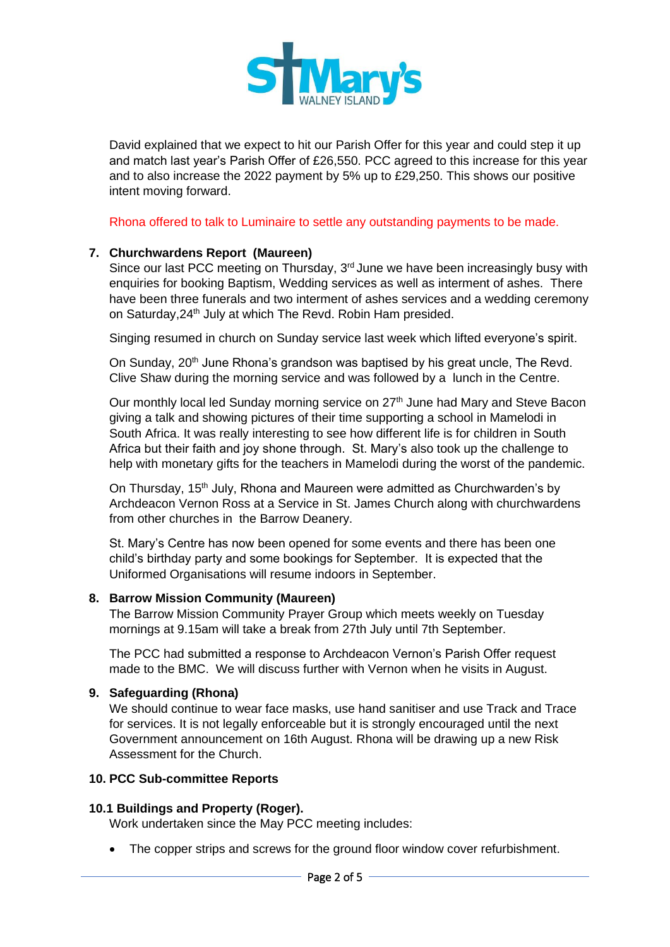

David explained that we expect to hit our Parish Offer for this year and could step it up and match last year's Parish Offer of £26,550. PCC agreed to this increase for this year and to also increase the 2022 payment by 5% up to £29,250. This shows our positive intent moving forward.

Rhona offered to talk to Luminaire to settle any outstanding payments to be made.

### **7. Churchwardens Report (Maureen)**

Since our last PCC meeting on Thursday,  $3<sup>rd</sup>$  June we have been increasingly busy with enquiries for booking Baptism, Wedding services as well as interment of ashes. There have been three funerals and two interment of ashes services and a wedding ceremony on Saturday, 24<sup>th</sup> July at which The Revd. Robin Ham presided.

Singing resumed in church on Sunday service last week which lifted everyone's spirit.

On Sunday, 20<sup>th</sup> June Rhona's grandson was baptised by his great uncle, The Revd. Clive Shaw during the morning service and was followed by a lunch in the Centre.

Our monthly local led Sunday morning service on 27<sup>th</sup> June had Mary and Steve Bacon giving a talk and showing pictures of their time supporting a school in Mamelodi in South Africa. It was really interesting to see how different life is for children in South Africa but their faith and joy shone through. St. Mary's also took up the challenge to help with monetary gifts for the teachers in Mamelodi during the worst of the pandemic.

On Thursday, 15<sup>th</sup> July, Rhona and Maureen were admitted as Churchwarden's by Archdeacon Vernon Ross at a Service in St. James Church along with churchwardens from other churches in the Barrow Deanery.

St. Mary's Centre has now been opened for some events and there has been one child's birthday party and some bookings for September. It is expected that the Uniformed Organisations will resume indoors in September.

### **8. Barrow Mission Community (Maureen)**

The Barrow Mission Community Prayer Group which meets weekly on Tuesday mornings at 9.15am will take a break from 27th July until 7th September.

The PCC had submitted a response to Archdeacon Vernon's Parish Offer request made to the BMC. We will discuss further with Vernon when he visits in August.

### **9. Safeguarding (Rhona)**

We should continue to wear face masks, use hand sanitiser and use Track and Trace for services. It is not legally enforceable but it is strongly encouraged until the next Government announcement on 16th August. Rhona will be drawing up a new Risk Assessment for the Church.

### **10. PCC Sub-committee Reports**

### **10.1 Buildings and Property (Roger).**

Work undertaken since the May PCC meeting includes:

• The copper strips and screws for the ground floor window cover refurbishment.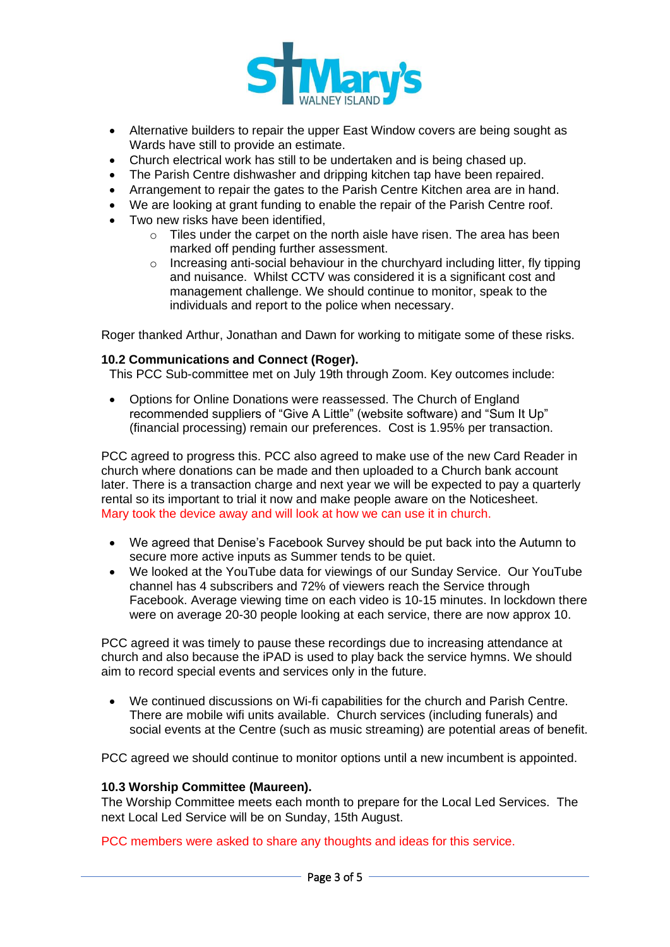

- Alternative builders to repair the upper East Window covers are being sought as Wards have still to provide an estimate.
- Church electrical work has still to be undertaken and is being chased up.
- The Parish Centre dishwasher and dripping kitchen tap have been repaired.
- Arrangement to repair the gates to the Parish Centre Kitchen area are in hand.
- We are looking at grant funding to enable the repair of the Parish Centre roof.
- Two new risks have been identified.
	- o Tiles under the carpet on the north aisle have risen. The area has been marked off pending further assessment.
	- o Increasing anti-social behaviour in the churchyard including litter, fly tipping and nuisance. Whilst CCTV was considered it is a significant cost and management challenge. We should continue to monitor, speak to the individuals and report to the police when necessary.

Roger thanked Arthur, Jonathan and Dawn for working to mitigate some of these risks.

### **10.2 Communications and Connect (Roger).**

This PCC Sub-committee met on July 19th through Zoom. Key outcomes include:

• Options for Online Donations were reassessed. The Church of England recommended suppliers of "Give A Little" (website software) and "Sum It Up" (financial processing) remain our preferences. Cost is 1.95% per transaction.

PCC agreed to progress this. PCC also agreed to make use of the new Card Reader in church where donations can be made and then uploaded to a Church bank account later. There is a transaction charge and next year we will be expected to pay a quarterly rental so its important to trial it now and make people aware on the Noticesheet. Mary took the device away and will look at how we can use it in church.

- We agreed that Denise's Facebook Survey should be put back into the Autumn to secure more active inputs as Summer tends to be quiet.
- We looked at the YouTube data for viewings of our Sunday Service. Our YouTube channel has 4 subscribers and 72% of viewers reach the Service through Facebook. Average viewing time on each video is 10-15 minutes. In lockdown there were on average 20-30 people looking at each service, there are now approx 10.

PCC agreed it was timely to pause these recordings due to increasing attendance at church and also because the iPAD is used to play back the service hymns. We should aim to record special events and services only in the future.

• We continued discussions on Wi-fi capabilities for the church and Parish Centre. There are mobile wifi units available. Church services (including funerals) and social events at the Centre (such as music streaming) are potential areas of benefit.

PCC agreed we should continue to monitor options until a new incumbent is appointed.

#### **10.3 Worship Committee (Maureen).**

The Worship Committee meets each month to prepare for the Local Led Services. The next Local Led Service will be on Sunday, 15th August.

PCC members were asked to share any thoughts and ideas for this service.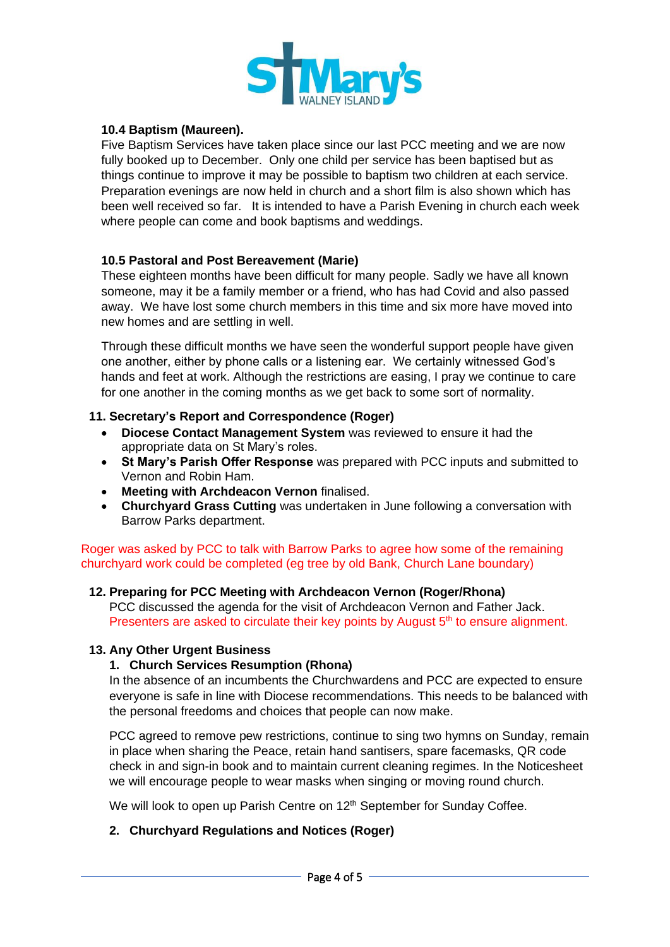

## **10.4 Baptism (Maureen).**

Five Baptism Services have taken place since our last PCC meeting and we are now fully booked up to December. Only one child per service has been baptised but as things continue to improve it may be possible to baptism two children at each service. Preparation evenings are now held in church and a short film is also shown which has been well received so far. It is intended to have a Parish Evening in church each week where people can come and book baptisms and weddings.

### **10.5 Pastoral and Post Bereavement (Marie)**

These eighteen months have been difficult for many people. Sadly we have all known someone, may it be a family member or a friend, who has had Covid and also passed away. We have lost some church members in this time and six more have moved into new homes and are settling in well.

Through these difficult months we have seen the wonderful support people have given one another, either by phone calls or a listening ear. We certainly witnessed God's hands and feet at work. Although the restrictions are easing, I pray we continue to care for one another in the coming months as we get back to some sort of normality.

### **11. Secretary's Report and Correspondence (Roger)**

- **Diocese Contact Management System** was reviewed to ensure it had the appropriate data on St Mary's roles.
- **St Mary's Parish Offer Response** was prepared with PCC inputs and submitted to Vernon and Robin Ham.
- **Meeting with Archdeacon Vernon** finalised.
- **Churchyard Grass Cutting** was undertaken in June following a conversation with Barrow Parks department.

Roger was asked by PCC to talk with Barrow Parks to agree how some of the remaining churchyard work could be completed (eg tree by old Bank, Church Lane boundary)

## **12. Preparing for PCC Meeting with Archdeacon Vernon (Roger/Rhona)**

PCC discussed the agenda for the visit of Archdeacon Vernon and Father Jack. Presenters are asked to circulate their key points by August  $5<sup>th</sup>$  to ensure alignment.

### **13. Any Other Urgent Business**

### **1. Church Services Resumption (Rhona)**

In the absence of an incumbents the Churchwardens and PCC are expected to ensure everyone is safe in line with Diocese recommendations. This needs to be balanced with the personal freedoms and choices that people can now make.

PCC agreed to remove pew restrictions, continue to sing two hymns on Sunday, remain in place when sharing the Peace, retain hand santisers, spare facemasks, QR code check in and sign-in book and to maintain current cleaning regimes. In the Noticesheet we will encourage people to wear masks when singing or moving round church.

We will look to open up Parish Centre on 12<sup>th</sup> September for Sunday Coffee.

### **2. Churchyard Regulations and Notices (Roger)**